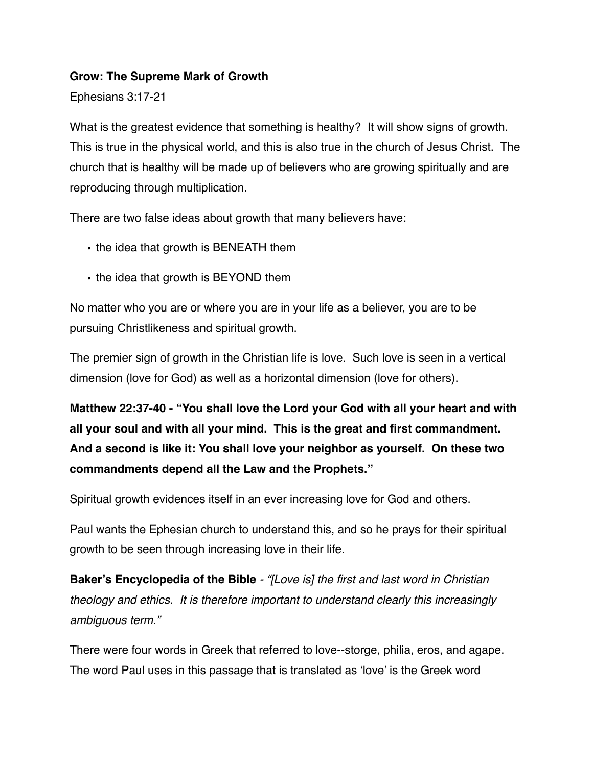#### **Grow: The Supreme Mark of Growth**

Ephesians 3:17-21

What is the greatest evidence that something is healthy? It will show signs of growth. This is true in the physical world, and this is also true in the church of Jesus Christ. The church that is healthy will be made up of believers who are growing spiritually and are reproducing through multiplication.

There are two false ideas about growth that many believers have:

- the idea that growth is BENEATH them
- the idea that growth is BEYOND them

No matter who you are or where you are in your life as a believer, you are to be pursuing Christlikeness and spiritual growth.

The premier sign of growth in the Christian life is love. Such love is seen in a vertical dimension (love for God) as well as a horizontal dimension (love for others).

**Matthew 22:37-40 - "You shall love the Lord your God with all your heart and with all your soul and with all your mind. This is the great and first commandment. And a second is like it: You shall love your neighbor as yourself. On these two commandments depend all the Law and the Prophets."**

Spiritual growth evidences itself in an ever increasing love for God and others.

Paul wants the Ephesian church to understand this, and so he prays for their spiritual growth to be seen through increasing love in their life.

**Baker's Encyclopedia of the Bible** *- "[Love is] the first and last word in Christian theology and ethics. It is therefore important to understand clearly this increasingly ambiguous term."*

There were four words in Greek that referred to love--storge, philia, eros, and agape. The word Paul uses in this passage that is translated as 'love' is the Greek word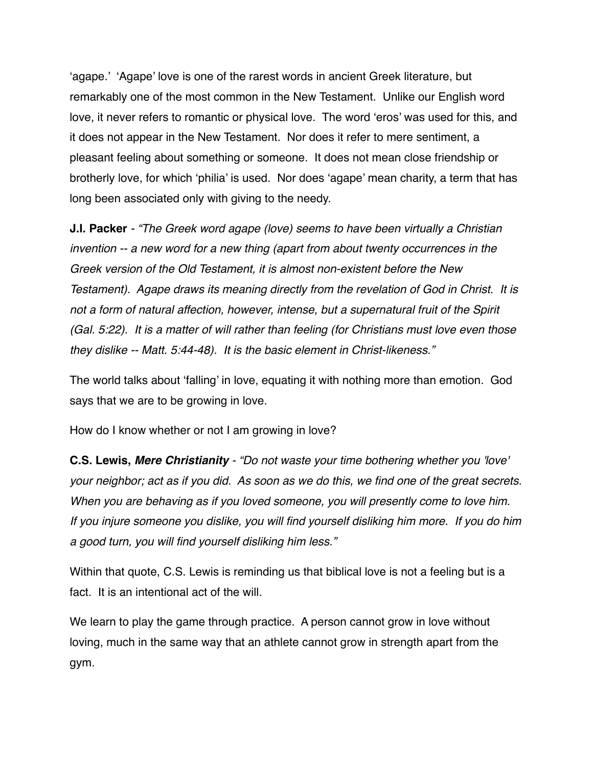'agape.' 'Agape' love is one of the rarest words in ancient Greek literature, but remarkably one of the most common in the New Testament. Unlike our English word love, it never refers to romantic or physical love. The word 'eros' was used for this, and it does not appear in the New Testament. Nor does it refer to mere sentiment, a pleasant feeling about something or someone. It does not mean close friendship or brotherly love, for which 'philia' is used. Nor does 'agape' mean charity, a term that has long been associated only with giving to the needy.

**J.I. Packer** *- "The Greek word agape (love) seems to have been virtually a Christian invention -- a new word for a new thing (apart from about twenty occurrences in the Greek version of the Old Testament, it is almost non-existent before the New Testament). Agape draws its meaning directly from the revelation of God in Christ. It is not a form of natural affection, however, intense, but a supernatural fruit of the Spirit (Gal. 5:22). It is a matter of will rather than feeling (for Christians must love even those they dislike -- Matt. 5:44-48). It is the basic element in Christ-likeness."*

The world talks about 'falling' in love, equating it with nothing more than emotion. God says that we are to be growing in love.

How do I know whether or not I am growing in love?

**C.S. Lewis,** *Mere Christianity - "Do not waste your time bothering whether you 'love' your neighbor; act as if you did. As soon as we do this, we find one of the great secrets. When you are behaving as if you loved someone, you will presently come to love him. If you injure someone you dislike, you will find yourself disliking him more. If you do him a good turn, you will find yourself disliking him less."*

Within that quote, C.S. Lewis is reminding us that biblical love is not a feeling but is a fact. It is an intentional act of the will.

We learn to play the game through practice. A person cannot grow in love without loving, much in the same way that an athlete cannot grow in strength apart from the gym.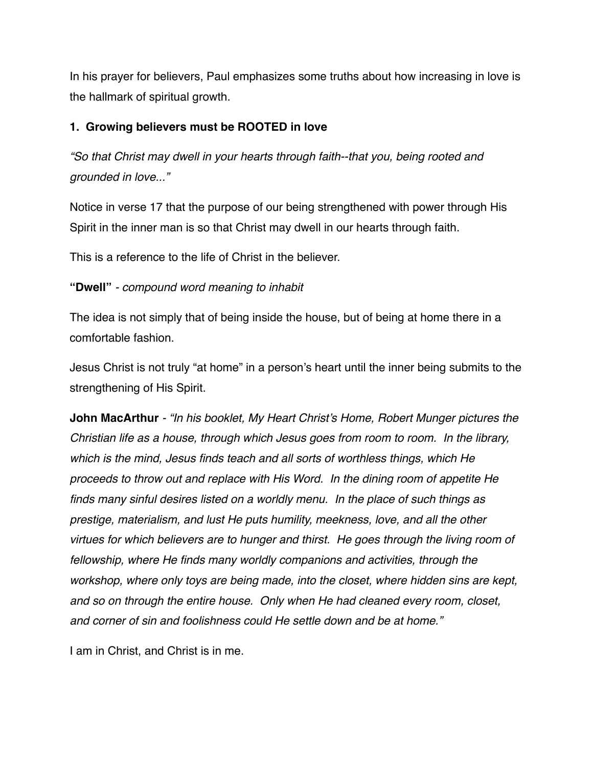In his prayer for believers, Paul emphasizes some truths about how increasing in love is the hallmark of spiritual growth.

## **1. Growing believers must be ROOTED in love**

*"So that Christ may dwell in your hearts through faith--that you, being rooted and grounded in love..."*

Notice in verse 17 that the purpose of our being strengthened with power through His Spirit in the inner man is so that Christ may dwell in our hearts through faith.

This is a reference to the life of Christ in the believer.

# **"Dwell"** *- compound word meaning to inhabit*

The idea is not simply that of being inside the house, but of being at home there in a comfortable fashion.

Jesus Christ is not truly "at home" in a person's heart until the inner being submits to the strengthening of His Spirit.

**John MacArthur** *- "In his booklet, My Heart Christ's Home, Robert Munger pictures the Christian life as a house, through which Jesus goes from room to room. In the library, which is the mind, Jesus finds teach and all sorts of worthless things, which He proceeds to throw out and replace with His Word. In the dining room of appetite He finds many sinful desires listed on a worldly menu. In the place of such things as prestige, materialism, and lust He puts humility, meekness, love, and all the other virtues for which believers are to hunger and thirst. He goes through the living room of fellowship, where He finds many worldly companions and activities, through the workshop, where only toys are being made, into the closet, where hidden sins are kept, and so on through the entire house. Only when He had cleaned every room, closet, and corner of sin and foolishness could He settle down and be at home."* 

I am in Christ, and Christ is in me.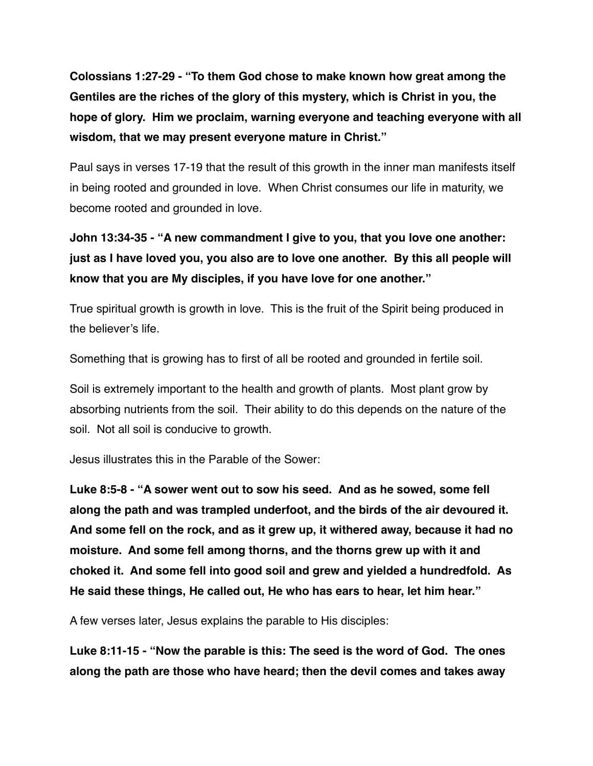**Colossians 1:27-29 - "To them God chose to make known how great among the Gentiles are the riches of the glory of this mystery, which is Christ in you, the hope of glory. Him we proclaim, warning everyone and teaching everyone with all wisdom, that we may present everyone mature in Christ."**

Paul says in verses 17-19 that the result of this growth in the inner man manifests itself in being rooted and grounded in love. When Christ consumes our life in maturity, we become rooted and grounded in love.

**John 13:34-35 - "A new commandment I give to you, that you love one another: just as I have loved you, you also are to love one another. By this all people will know that you are My disciples, if you have love for one another."**

True spiritual growth is growth in love. This is the fruit of the Spirit being produced in the believer's life.

Something that is growing has to first of all be rooted and grounded in fertile soil.

Soil is extremely important to the health and growth of plants. Most plant grow by absorbing nutrients from the soil. Their ability to do this depends on the nature of the soil. Not all soil is conducive to growth.

Jesus illustrates this in the Parable of the Sower:

**Luke 8:5-8 - "A sower went out to sow his seed. And as he sowed, some fell along the path and was trampled underfoot, and the birds of the air devoured it. And some fell on the rock, and as it grew up, it withered away, because it had no moisture. And some fell among thorns, and the thorns grew up with it and choked it. And some fell into good soil and grew and yielded a hundredfold. As He said these things, He called out, He who has ears to hear, let him hear."**

A few verses later, Jesus explains the parable to His disciples:

**Luke 8:11-15 - "Now the parable is this: The seed is the word of God. The ones along the path are those who have heard; then the devil comes and takes away**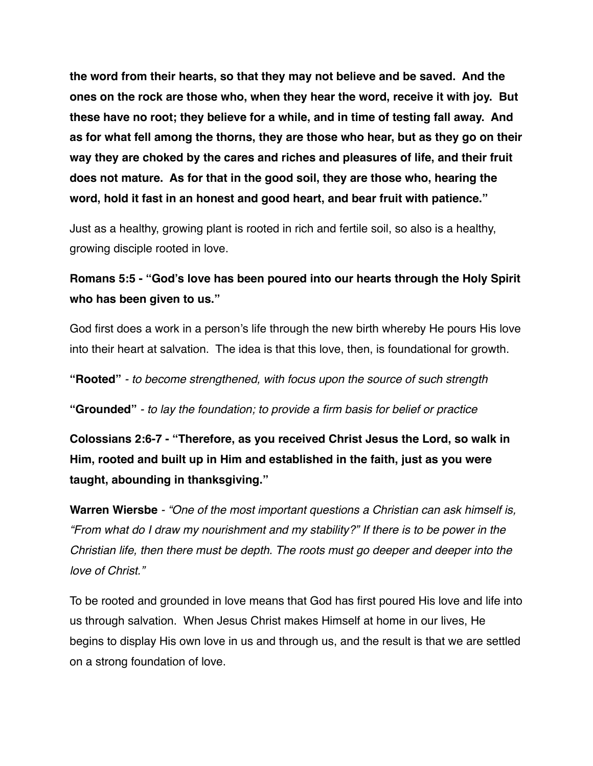**the word from their hearts, so that they may not believe and be saved. And the ones on the rock are those who, when they hear the word, receive it with joy. But these have no root; they believe for a while, and in time of testing fall away. And as for what fell among the thorns, they are those who hear, but as they go on their way they are choked by the cares and riches and pleasures of life, and their fruit does not mature. As for that in the good soil, they are those who, hearing the word, hold it fast in an honest and good heart, and bear fruit with patience."**

Just as a healthy, growing plant is rooted in rich and fertile soil, so also is a healthy, growing disciple rooted in love.

# **Romans 5:5 - "God's love has been poured into our hearts through the Holy Spirit who has been given to us."**

God first does a work in a person's life through the new birth whereby He pours His love into their heart at salvation. The idea is that this love, then, is foundational for growth.

**"Rooted"** *- to become strengthened, with focus upon the source of such strength*

**"Grounded"** *- to lay the foundation; to provide a firm basis for belief or practice*

**Colossians 2:6-7 - "Therefore, as you received Christ Jesus the Lord, so walk in Him, rooted and built up in Him and established in the faith, just as you were taught, abounding in thanksgiving."**

**Warren Wiersbe** *- "One of the most important questions a Christian can ask himself is, "From what do I draw my nourishment and my stability?" If there is to be power in the Christian life, then there must be depth. The roots must go deeper and deeper into the love of Christ."*

To be rooted and grounded in love means that God has first poured His love and life into us through salvation. When Jesus Christ makes Himself at home in our lives, He begins to display His own love in us and through us, and the result is that we are settled on a strong foundation of love.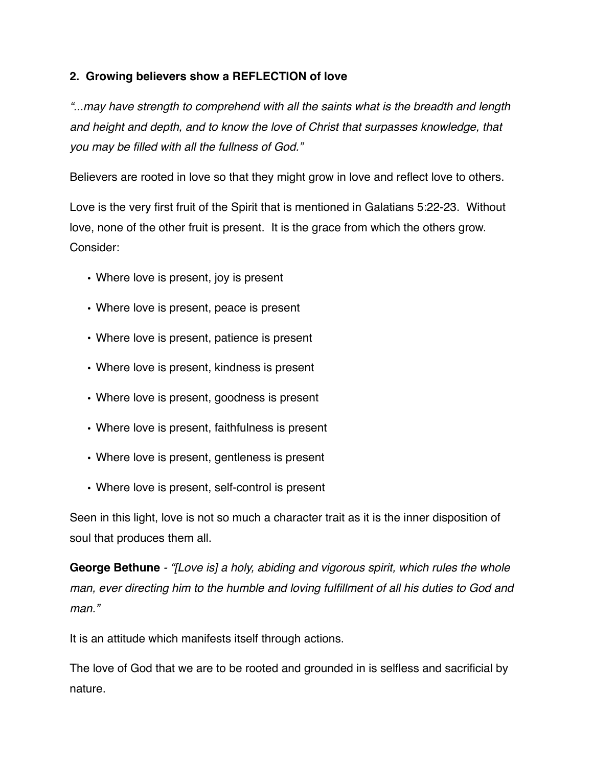# **2. Growing believers show a REFLECTION of love**

*"...may have strength to comprehend with all the saints what is the breadth and length and height and depth, and to know the love of Christ that surpasses knowledge, that you may be filled with all the fullness of God."*

Believers are rooted in love so that they might grow in love and reflect love to others.

Love is the very first fruit of the Spirit that is mentioned in Galatians 5:22-23. Without love, none of the other fruit is present. It is the grace from which the others grow. Consider:

- Where love is present, joy is present
- Where love is present, peace is present
- Where love is present, patience is present
- Where love is present, kindness is present
- Where love is present, goodness is present
- Where love is present, faithfulness is present
- Where love is present, gentleness is present
- Where love is present, self-control is present

Seen in this light, love is not so much a character trait as it is the inner disposition of soul that produces them all.

**George Bethune** *- "[Love is] a holy, abiding and vigorous spirit, which rules the whole man, ever directing him to the humble and loving fulfillment of all his duties to God and man."*

It is an attitude which manifests itself through actions.

The love of God that we are to be rooted and grounded in is selfless and sacrificial by nature.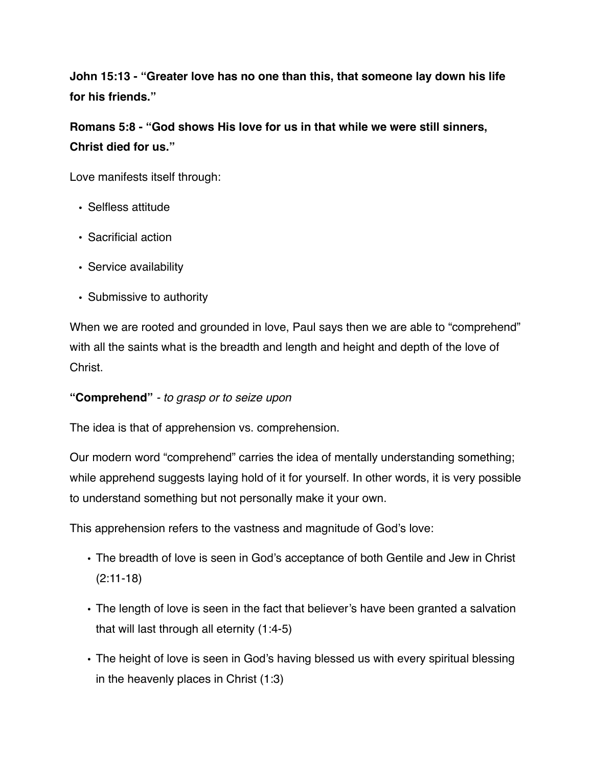**John 15:13 - "Greater love has no one than this, that someone lay down his life for his friends."**

**Romans 5:8 - "God shows His love for us in that while we were still sinners, Christ died for us."**

Love manifests itself through:

- Selfless attitude
- Sacrificial action
- Service availability
- Submissive to authority

When we are rooted and grounded in love, Paul says then we are able to "comprehend" with all the saints what is the breadth and length and height and depth of the love of **Christ** 

#### **"Comprehend"** *- to grasp or to seize upon*

The idea is that of apprehension vs. comprehension.

Our modern word "comprehend" carries the idea of mentally understanding something; while apprehend suggests laying hold of it for yourself. In other words, it is very possible to understand something but not personally make it your own.

This apprehension refers to the vastness and magnitude of God's love:

- The breadth of love is seen in God's acceptance of both Gentile and Jew in Christ (2:11-18)
- The length of love is seen in the fact that believer's have been granted a salvation that will last through all eternity (1:4-5)
- The height of love is seen in God's having blessed us with every spiritual blessing in the heavenly places in Christ (1:3)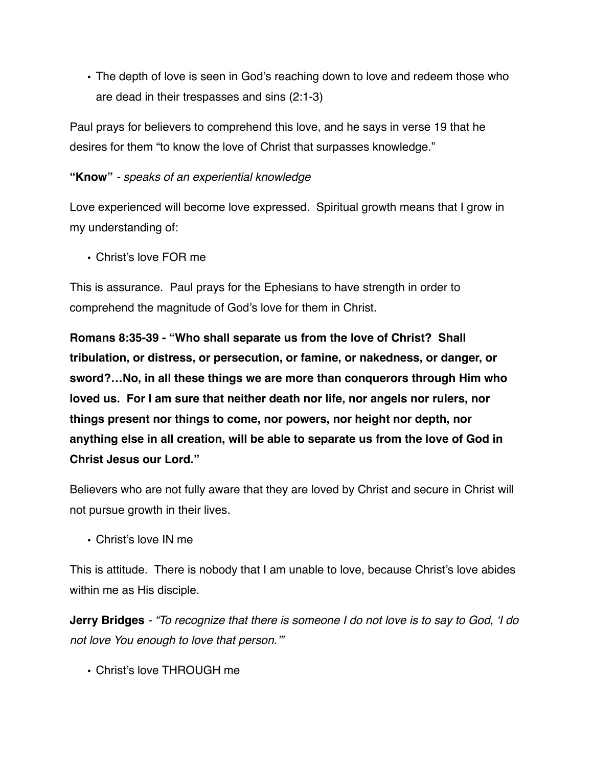• The depth of love is seen in God's reaching down to love and redeem those who are dead in their trespasses and sins (2:1-3)

Paul prays for believers to comprehend this love, and he says in verse 19 that he desires for them "to know the love of Christ that surpasses knowledge."

#### **"Know"** *- speaks of an experiential knowledge*

Love experienced will become love expressed. Spiritual growth means that I grow in my understanding of:

• Christ's love FOR me

This is assurance. Paul prays for the Ephesians to have strength in order to comprehend the magnitude of God's love for them in Christ.

**Romans 8:35-39 - "Who shall separate us from the love of Christ? Shall tribulation, or distress, or persecution, or famine, or nakedness, or danger, or sword?…No, in all these things we are more than conquerors through Him who loved us. For I am sure that neither death nor life, nor angels nor rulers, nor things present nor things to come, nor powers, nor height nor depth, nor anything else in all creation, will be able to separate us from the love of God in Christ Jesus our Lord."**

Believers who are not fully aware that they are loved by Christ and secure in Christ will not pursue growth in their lives.

• Christ's love IN me

This is attitude. There is nobody that I am unable to love, because Christ's love abides within me as His disciple.

**Jerry Bridges** *- "To recognize that there is someone I do not love is to say to God, 'I do not love You enough to love that person.'"*

• Christ's love THROUGH me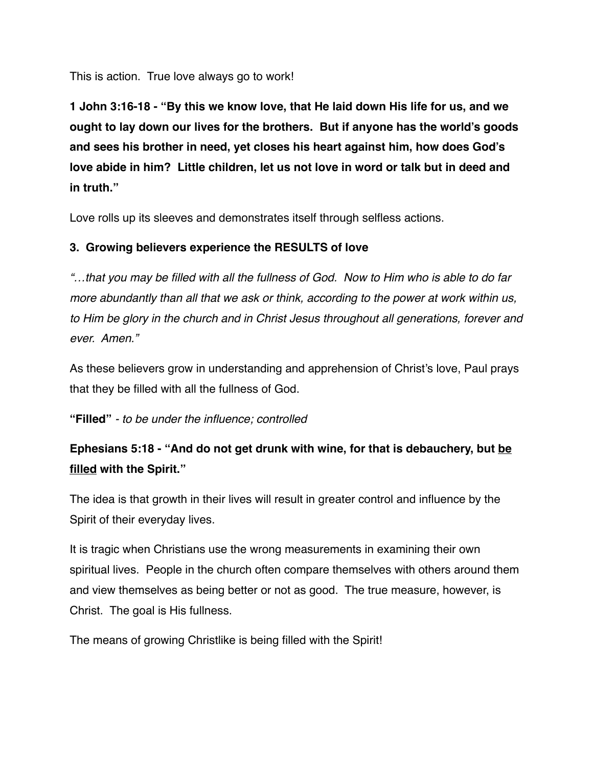This is action. True love always go to work!

**1 John 3:16-18 - "By this we know love, that He laid down His life for us, and we ought to lay down our lives for the brothers. But if anyone has the world's goods and sees his brother in need, yet closes his heart against him, how does God's love abide in him? Little children, let us not love in word or talk but in deed and in truth."**

Love rolls up its sleeves and demonstrates itself through selfless actions.

#### **3. Growing believers experience the RESULTS of love**

*"…that you may be filled with all the fullness of God. Now to Him who is able to do far more abundantly than all that we ask or think, according to the power at work within us, to Him be glory in the church and in Christ Jesus throughout all generations, forever and ever. Amen."*

As these believers grow in understanding and apprehension of Christ's love, Paul prays that they be filled with all the fullness of God.

**"Filled"** *- to be under the influence; controlled* 

# **Ephesians 5:18 - "And do not get drunk with wine, for that is debauchery, but be filled with the Spirit."**

The idea is that growth in their lives will result in greater control and influence by the Spirit of their everyday lives.

It is tragic when Christians use the wrong measurements in examining their own spiritual lives. People in the church often compare themselves with others around them and view themselves as being better or not as good. The true measure, however, is Christ. The goal is His fullness.

The means of growing Christlike is being filled with the Spirit!